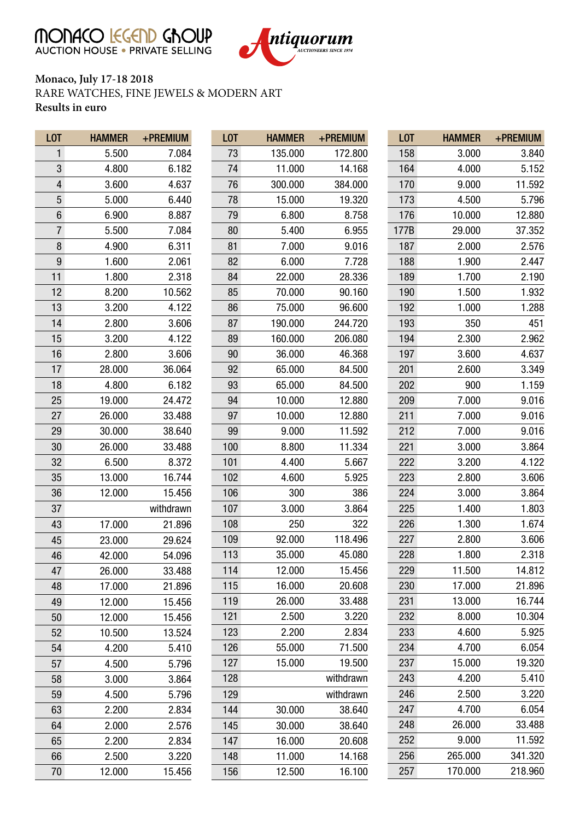MONACO EGEND GROUP



## **Monaco, July 17-18 2018** RARE WATCHES, FINE JEWELS & MODERN ART **Results in euro**

| L <sub>0</sub> T | <b>HAMMER</b> | +PREMIUM  | L <sub>0</sub> T | <b>HAMMER</b> | +PREMIUM  | L <sub>0</sub> T | <b>HAMMER</b> | +PREMIUM |
|------------------|---------------|-----------|------------------|---------------|-----------|------------------|---------------|----------|
| 1                | 5.500         | 7.084     | 73               | 135.000       | 172.800   | 158              | 3.000         | 3.840    |
| 3                | 4.800         | 6.182     | 74               | 11.000        | 14.168    | 164              | 4.000         | 5.152    |
| 4                | 3.600         | 4.637     | 76               | 300.000       | 384.000   | 170              | 9.000         | 11.592   |
| 5                | 5.000         | 6.440     | 78               | 15.000        | 19.320    | 173              | 4.500         | 5.796    |
| 6                | 6.900         | 8.887     | 79               | 6.800         | 8.758     | 176              | 10.000        | 12.880   |
| $\overline{7}$   | 5.500         | 7.084     | 80               | 5.400         | 6.955     | 177B             | 29.000        | 37.352   |
| $\bf 8$          | 4.900         | 6.311     | 81               | 7.000         | 9.016     | 187              | 2.000         | 2.576    |
| 9                | 1.600         | 2.061     | 82               | 6.000         | 7.728     | 188              | 1.900         | 2.447    |
| 11               | 1.800         | 2.318     | 84               | 22.000        | 28.336    | 189              | 1.700         | 2.190    |
| 12               | 8.200         | 10.562    | 85               | 70.000        | 90.160    | 190              | 1.500         | 1.932    |
| 13               | 3.200         | 4.122     | 86               | 75.000        | 96.600    | 192              | 1.000         | 1.288    |
| 14               | 2.800         | 3.606     | 87               | 190.000       | 244.720   | 193              | 350           | 451      |
| 15               | 3.200         | 4.122     | 89               | 160.000       | 206.080   | 194              | 2.300         | 2.962    |
| 16               | 2.800         | 3.606     | 90               | 36.000        | 46.368    | 197              | 3.600         | 4.637    |
| 17               | 28.000        | 36.064    | 92               | 65.000        | 84.500    | 201              | 2.600         | 3.349    |
| 18               | 4.800         | 6.182     | 93               | 65.000        | 84.500    | 202              | 900           | 1.159    |
| 25               | 19.000        | 24.472    | 94               | 10.000        | 12.880    | 209              | 7.000         | 9.016    |
| 27               | 26.000        | 33.488    | 97               | 10.000        | 12.880    | 211              | 7.000         | 9.016    |
| 29               | 30.000        | 38.640    | 99               | 9.000         | 11.592    | 212              | 7.000         | 9.016    |
| 30               | 26.000        | 33.488    | 100              | 8.800         | 11.334    | 221              | 3.000         | 3.864    |
| 32               | 6.500         | 8.372     | 101              | 4.400         | 5.667     | 222              | 3.200         | 4.122    |
| 35               | 13.000        | 16.744    | 102              | 4.600         | 5.925     | 223              | 2.800         | 3.606    |
| 36               | 12.000        | 15.456    | 106              | 300           | 386       | 224              | 3.000         | 3.864    |
| 37               |               | withdrawn | 107              | 3.000         | 3.864     | 225              | 1.400         | 1.803    |
| 43               | 17.000        | 21.896    | 108              | 250           | 322       | 226              | 1.300         | 1.674    |
| 45               | 23.000        | 29.624    | 109              | 92.000        | 118.496   | 227              | 2.800         | 3.606    |
| 46               | 42.000        | 54.096    | 113              | 35.000        | 45.080    | 228              | 1.800         | 2.318    |
| 47               | 26.000        | 33.488    | 114              | 12.000        | 15.456    | 229              | 11.500        | 14.812   |
| 48               | 17.000        | 21.896    | 115              | 16.000        | 20.608    | 230              | 17.000        | 21.896   |
| 49               | 12.000        | 15.456    | 119              | 26.000        | 33.488    | 231              | 13.000        | 16.744   |
| 50               | 12.000        | 15.456    | 121              | 2.500         | 3.220     | 232              | 8.000         | 10.304   |
| 52               | 10.500        | 13.524    | 123              | 2.200         | 2.834     | 233              | 4.600         | 5.925    |
| 54               | 4.200         | 5.410     | 126              | 55.000        | 71.500    | 234              | 4.700         | 6.054    |
| 57               | 4.500         | 5.796     | 127              | 15.000        | 19.500    | 237              | 15.000        | 19.320   |
| 58               | 3.000         | 3.864     | 128              |               | withdrawn | 243              | 4.200         | 5.410    |
| 59               | 4.500         | 5.796     | 129              |               | withdrawn | 246              | 2.500         | 3.220    |
| 63               | 2.200         | 2.834     | 144              | 30.000        | 38.640    | 247              | 4.700         | 6.054    |
| 64               | 2.000         | 2.576     | 145              | 30.000        | 38.640    | 248              | 26.000        | 33.488   |
| 65               | 2.200         | 2.834     | 147              | 16.000        | 20.608    | 252              | 9.000         | 11.592   |
| 66               | 2.500         | 3.220     | 148              | 11.000        | 14.168    | 256              | 265.000       | 341.320  |
| 70               | 12.000        | 15.456    | 156              | 12.500        | 16.100    | 257              | 170.000       | 218.960  |